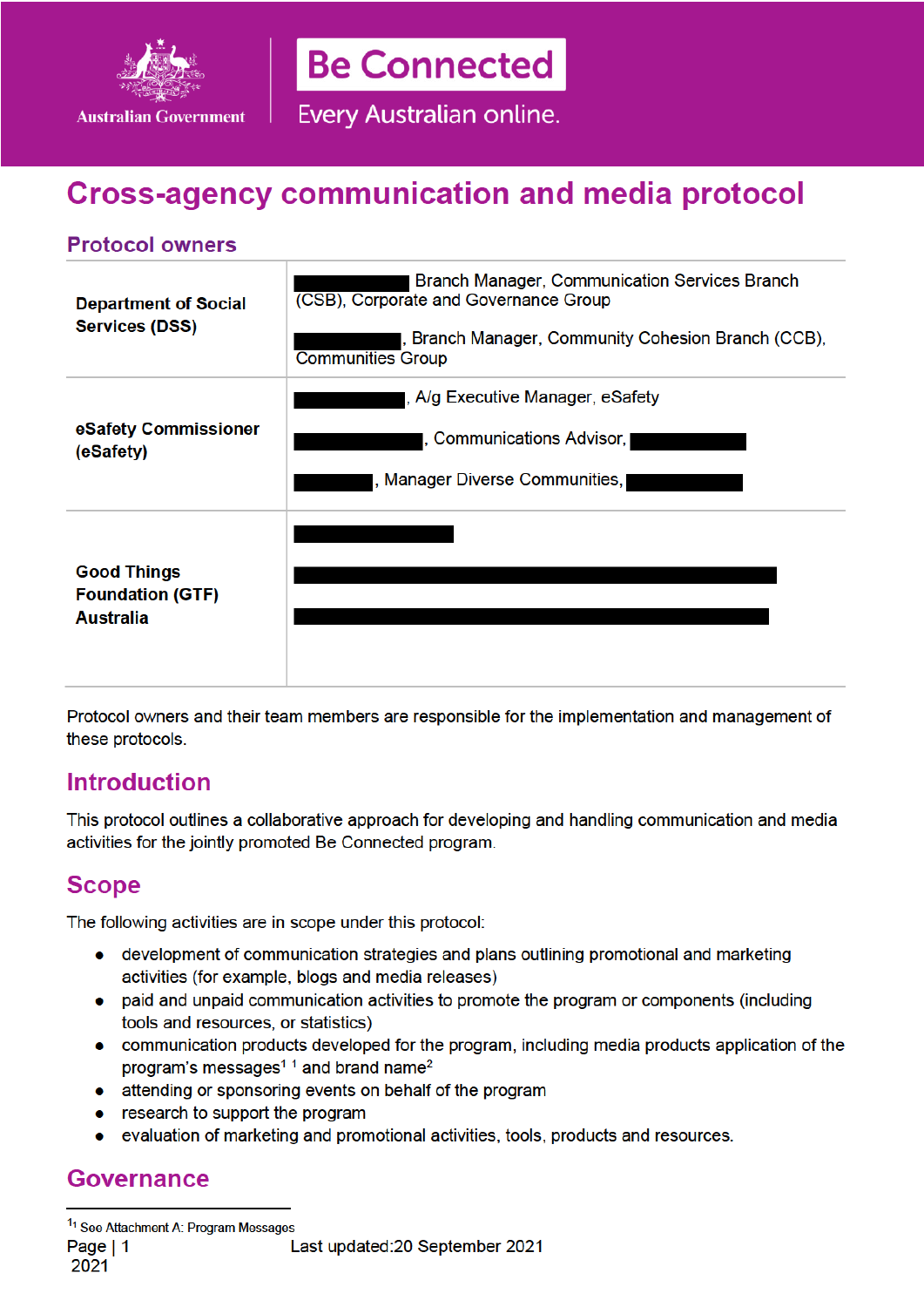

**Be Connected** 

Every Australian online.

# **Cross-agency communication and media protocol**

### **Protocol owners**

| <b>Department of Social</b>                   | Branch Manager, Communication Services Branch<br>(CSB), Corporate and Governance Group |  |  |
|-----------------------------------------------|----------------------------------------------------------------------------------------|--|--|
| <b>Services (DSS)</b>                         | l, Branch Manager, Community Cohesion Branch (CCB),<br><b>Communities Group</b>        |  |  |
|                                               | , A/g Executive Manager, eSafety                                                       |  |  |
| eSafety Commissioner<br>(eSafety)             | , Communications Advisor,                                                              |  |  |
|                                               | , Manager Diverse Communities,                                                         |  |  |
|                                               |                                                                                        |  |  |
| <b>Good Things</b><br><b>Foundation (GTF)</b> |                                                                                        |  |  |
| <b>Australia</b>                              |                                                                                        |  |  |
|                                               |                                                                                        |  |  |

Protocol owners and their team members are responsible for the implementation and management of these protocols.

## **Introduction**

This protocol outlines a collaborative approach for developing and handling communication and media activities for the jointly promoted Be Connected program.

### **Scope**

The following activities are in scope under this protocol:

- development of communication strategies and plans outlining promotional and marketing  $\bullet$ activities (for example, blogs and media releases)
- paid and unpaid communication activities to promote the program or components (including tools and resources, or statistics)
- communication products developed for the program, including media products application of the program's messages<sup> $11$ </sup> and brand name<sup>2</sup>
- attending or sponsoring events on behalf of the program
- research to support the program
- evaluation of marketing and promotional activities, tools, products and resources.

# **Governance**

<sup>1</sup><sup>1</sup> See Attachment A: Program Messages

Page | 1 Last updated: 20 September 2021

2021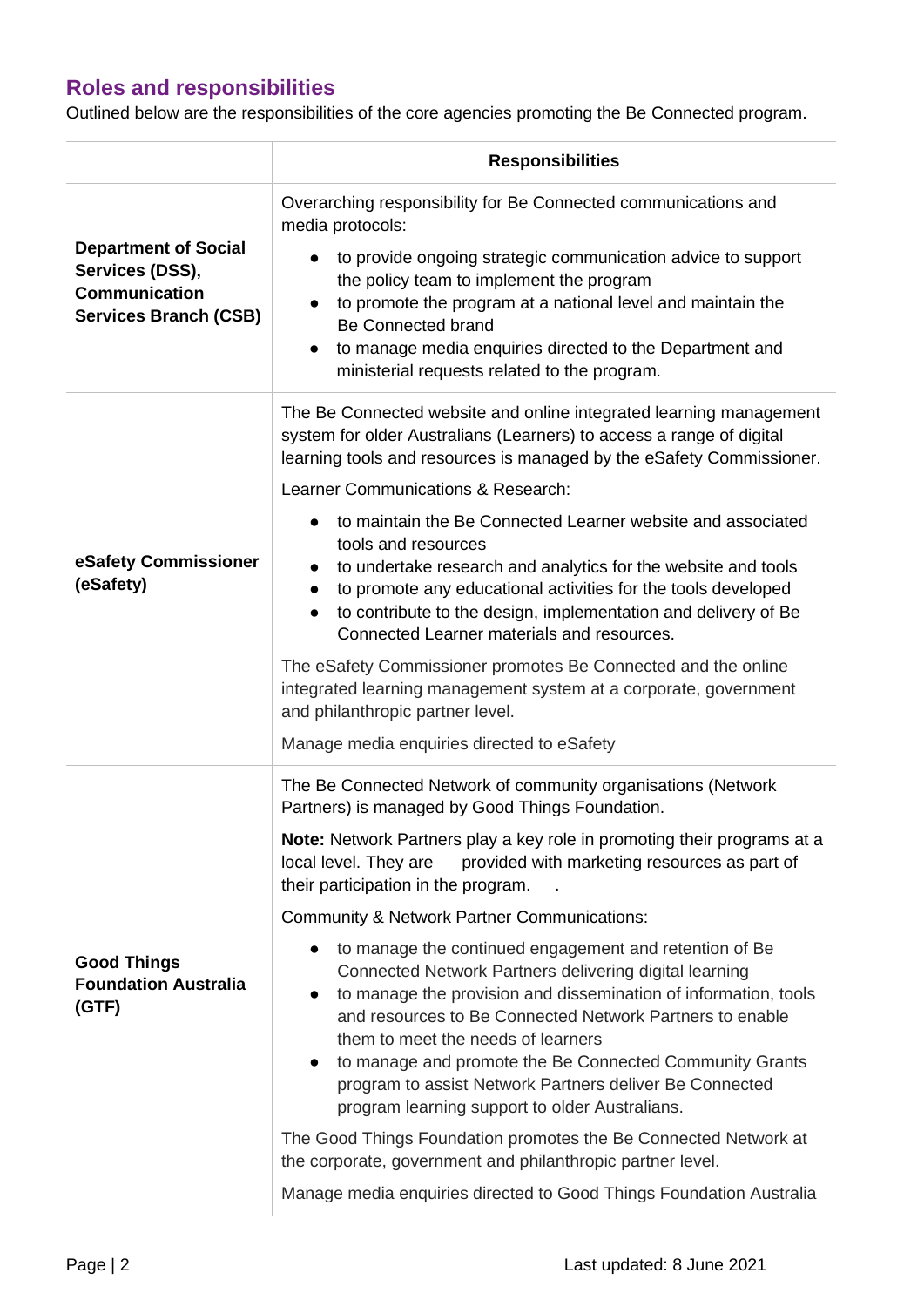# **Roles and responsibilities**

Outlined below are the responsibilities of the core agencies promoting the Be Connected program.

|                                                                                                        | <b>Responsibilities</b>                                                                                                                                                                                                                                                                                                                                                                                                                                       |  |  |
|--------------------------------------------------------------------------------------------------------|---------------------------------------------------------------------------------------------------------------------------------------------------------------------------------------------------------------------------------------------------------------------------------------------------------------------------------------------------------------------------------------------------------------------------------------------------------------|--|--|
|                                                                                                        | Overarching responsibility for Be Connected communications and<br>media protocols:                                                                                                                                                                                                                                                                                                                                                                            |  |  |
| <b>Department of Social</b><br>Services (DSS),<br><b>Communication</b><br><b>Services Branch (CSB)</b> | to provide ongoing strategic communication advice to support<br>the policy team to implement the program<br>to promote the program at a national level and maintain the<br><b>Be Connected brand</b><br>to manage media enquiries directed to the Department and<br>ministerial requests related to the program.                                                                                                                                              |  |  |
|                                                                                                        | The Be Connected website and online integrated learning management<br>system for older Australians (Learners) to access a range of digital<br>learning tools and resources is managed by the eSafety Commissioner.                                                                                                                                                                                                                                            |  |  |
|                                                                                                        | Learner Communications & Research:                                                                                                                                                                                                                                                                                                                                                                                                                            |  |  |
| eSafety Commissioner<br>(eSafety)                                                                      | to maintain the Be Connected Learner website and associated<br>tools and resources<br>to undertake research and analytics for the website and tools<br>to promote any educational activities for the tools developed<br>$\bullet$<br>to contribute to the design, implementation and delivery of Be<br>Connected Learner materials and resources.                                                                                                             |  |  |
|                                                                                                        | The eSafety Commissioner promotes Be Connected and the online<br>integrated learning management system at a corporate, government<br>and philanthropic partner level.                                                                                                                                                                                                                                                                                         |  |  |
|                                                                                                        | Manage media enquiries directed to eSafety                                                                                                                                                                                                                                                                                                                                                                                                                    |  |  |
|                                                                                                        | The Be Connected Network of community organisations (Network<br>Partners) is managed by Good Things Foundation.                                                                                                                                                                                                                                                                                                                                               |  |  |
|                                                                                                        | Note: Network Partners play a key role in promoting their programs at a<br>local level. They are<br>provided with marketing resources as part of<br>their participation in the program.                                                                                                                                                                                                                                                                       |  |  |
|                                                                                                        | Community & Network Partner Communications:                                                                                                                                                                                                                                                                                                                                                                                                                   |  |  |
| <b>Good Things</b><br><b>Foundation Australia</b><br>(GTF)                                             | to manage the continued engagement and retention of Be<br>Connected Network Partners delivering digital learning<br>to manage the provision and dissemination of information, tools<br>and resources to Be Connected Network Partners to enable<br>them to meet the needs of learners<br>to manage and promote the Be Connected Community Grants<br>program to assist Network Partners deliver Be Connected<br>program learning support to older Australians. |  |  |
|                                                                                                        | The Good Things Foundation promotes the Be Connected Network at<br>the corporate, government and philanthropic partner level.                                                                                                                                                                                                                                                                                                                                 |  |  |
|                                                                                                        | Manage media enquiries directed to Good Things Foundation Australia                                                                                                                                                                                                                                                                                                                                                                                           |  |  |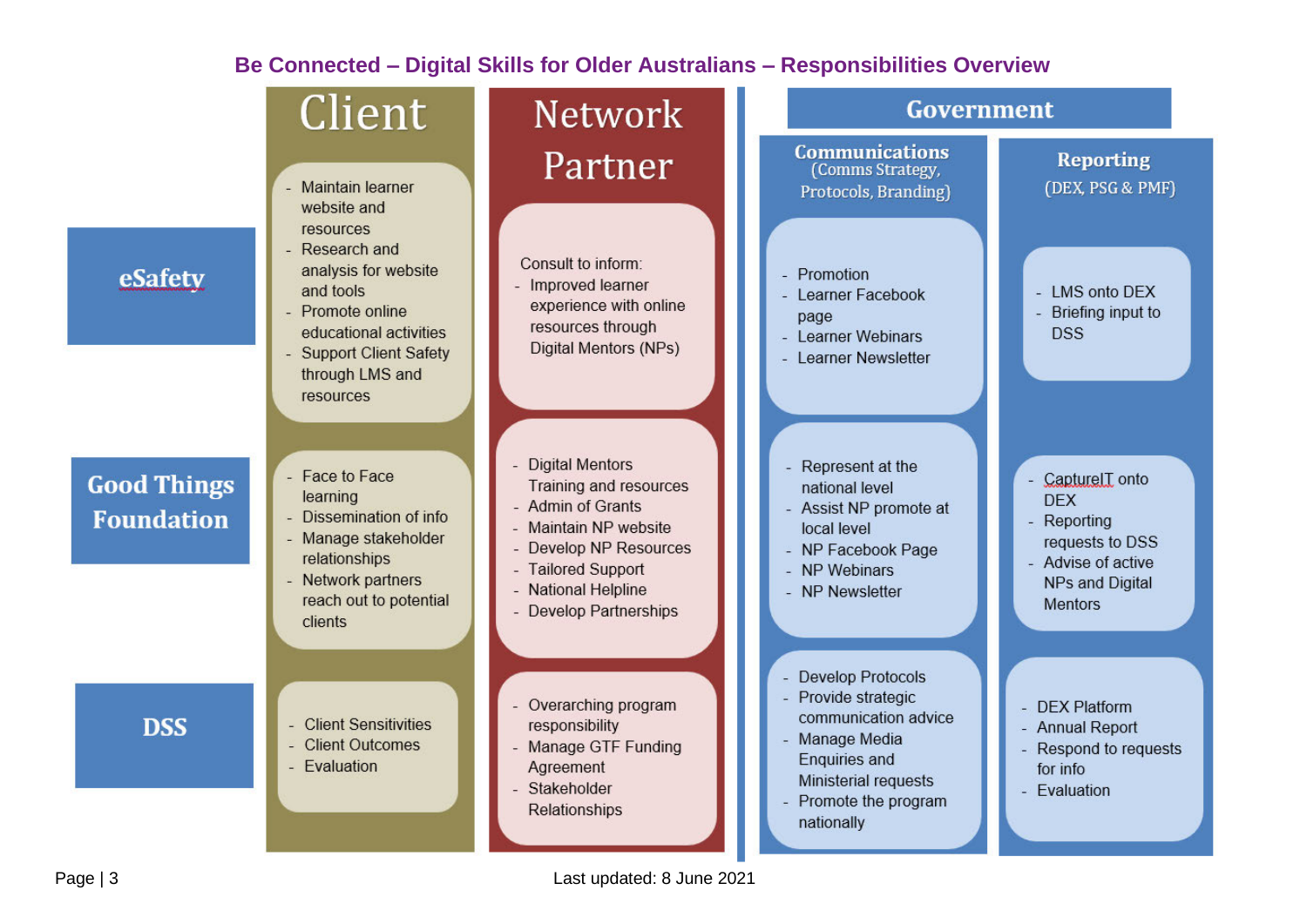### **Be Connected – Digital Skills for Older Australians – Responsibilities Overview**

|                                         | Client                                                                                                                                                                     | <b>Network</b>                                                                                                                                                                                  | Government                                                                                                                                                                 |                                                                                                                           |  |
|-----------------------------------------|----------------------------------------------------------------------------------------------------------------------------------------------------------------------------|-------------------------------------------------------------------------------------------------------------------------------------------------------------------------------------------------|----------------------------------------------------------------------------------------------------------------------------------------------------------------------------|---------------------------------------------------------------------------------------------------------------------------|--|
|                                         | <b>Maintain learner</b><br>website and                                                                                                                                     | Partner                                                                                                                                                                                         | <b>Communications</b><br>(Comms Strategy,<br>Protocols, Branding)                                                                                                          | <b>Reporting</b><br>(DEX, PSG & PMF)                                                                                      |  |
| eSafety                                 | resources<br>Research and<br>analysis for website<br>and tools<br>Promote online<br>educational activities<br><b>Support Client Safety</b><br>through LMS and<br>resources | Consult to inform:<br>- Improved learner<br>experience with online<br>resources through<br>Digital Mentors (NPs)                                                                                | Promotion<br>Learner Facebook<br>page<br><b>Learner Webinars</b><br><b>Learner Newsletter</b>                                                                              | - LMS onto DEX<br>Briefing input to<br><b>DSS</b>                                                                         |  |
| <b>Good Things</b><br><b>Foundation</b> | - Face to Face<br>learning<br>- Dissemination of info<br>- Manage stakeholder<br>relationships<br>Network partners<br>reach out to potential<br>clients                    | - Digital Mentors<br>Training and resources<br>- Admin of Grants<br>- Maintain NP website<br>- Develop NP Resources<br><b>Tailored Support</b><br>- National Helpline<br>- Develop Partnerships | Represent at the<br>national level<br>- Assist NP promote at<br>local level<br>- NP Facebook Page<br>- NP Webinars<br>- NP Newsletter                                      | CaptureIT onto<br><b>DEX</b><br>- Reporting<br>requests to DSS<br>- Advise of active<br>NPs and Digital<br><b>Mentors</b> |  |
| <b>DSS</b>                              | - Client Sensitivities<br>- Client Outcomes<br>- Evaluation                                                                                                                | - Overarching program<br>responsibility<br>- Manage GTF Funding<br>Agreement<br>- Stakeholder<br>Relationships                                                                                  | <b>Develop Protocols</b><br>Provide strategic<br>communication advice<br>Manage Media<br><b>Enquiries and</b><br>Ministerial requests<br>Promote the program<br>nationally | <b>DEX Platform</b><br><b>Annual Report</b><br>Respond to requests<br>for info<br>Evaluation                              |  |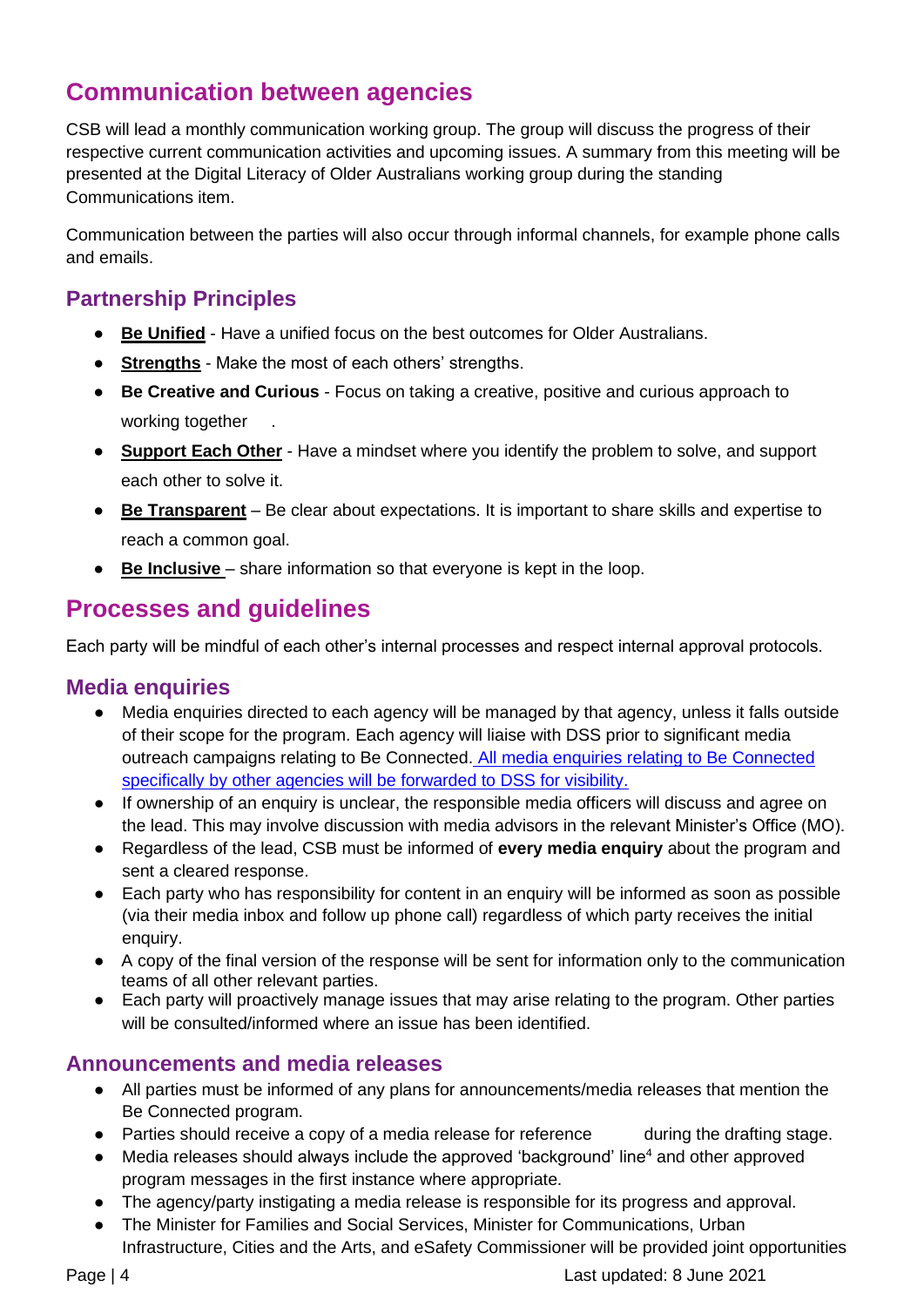## **Communication between agencies**

CSB will lead a monthly communication working group. The group will discuss the progress of their respective current communication activities and upcoming issues. A summary from this meeting will be presented at the Digital Literacy of Older Australians working group during the standing Communications item.

Communication between the parties will also occur through informal channels, for example phone calls and emails.

### **Partnership Principles**

- **Be Unified** Have a unified focus on the best outcomes for Older Australians.
- **Strengths** Make the most of each others' strengths.
- **Be Creative and Curious** Focus on taking a creative, positive and curious approach to working together
- **Support Each Other** Have a mindset where you identify the problem to solve, and support each other to solve it.
- **Be Transparent** Be clear about expectations. It is important to share skills and expertise to reach a common goal.
- **Be Inclusive**  share information so that everyone is kept in the loop.

# **Processes and guidelines**

Each party will be mindful of each other's internal processes and respect internal approval protocols.

#### **Media enquiries**

- Media enquiries directed to each agency will be managed by that agency, unless it falls outside of their scope for the program. Each agency will liaise with DSS prior to significant media outreach campaigns relating to Be Connected. All media enquiries relating to Be Connected specifically by other agencies will be forwarded to DSS for visibility.
- If ownership of an enquiry is unclear, the responsible media officers will discuss and agree on the lead. This may involve discussion with media advisors in the relevant Minister's Office (MO).
- Regardless of the lead, CSB must be informed of **every media enquiry** about the program and sent a cleared response.
- Each party who has responsibility for content in an enquiry will be informed as soon as possible (via their media inbox and follow up phone call) regardless of which party receives the initial enquiry.
- A copy of the final version of the response will be sent for information only to the communication teams of all other relevant parties.
- Each party will proactively manage issues that may arise relating to the program. Other parties will be consulted/informed where an issue has been identified.

#### **Announcements and media releases**

- All parties must be informed of any plans for announcements/media releases that mention the Be Connected program.
- Parties should receive a copy of a media release for reference during the drafting stage.
- Media releases should always include the approved 'background' line<sup>4</sup> and other approved program messages in the first instance where appropriate.
- The agency/party instigating a media release is responsible for its progress and approval.
- The Minister for Families and Social Services, Minister for Communications, Urban Infrastructure, Cities and the Arts, and eSafety Commissioner will be provided joint opportunities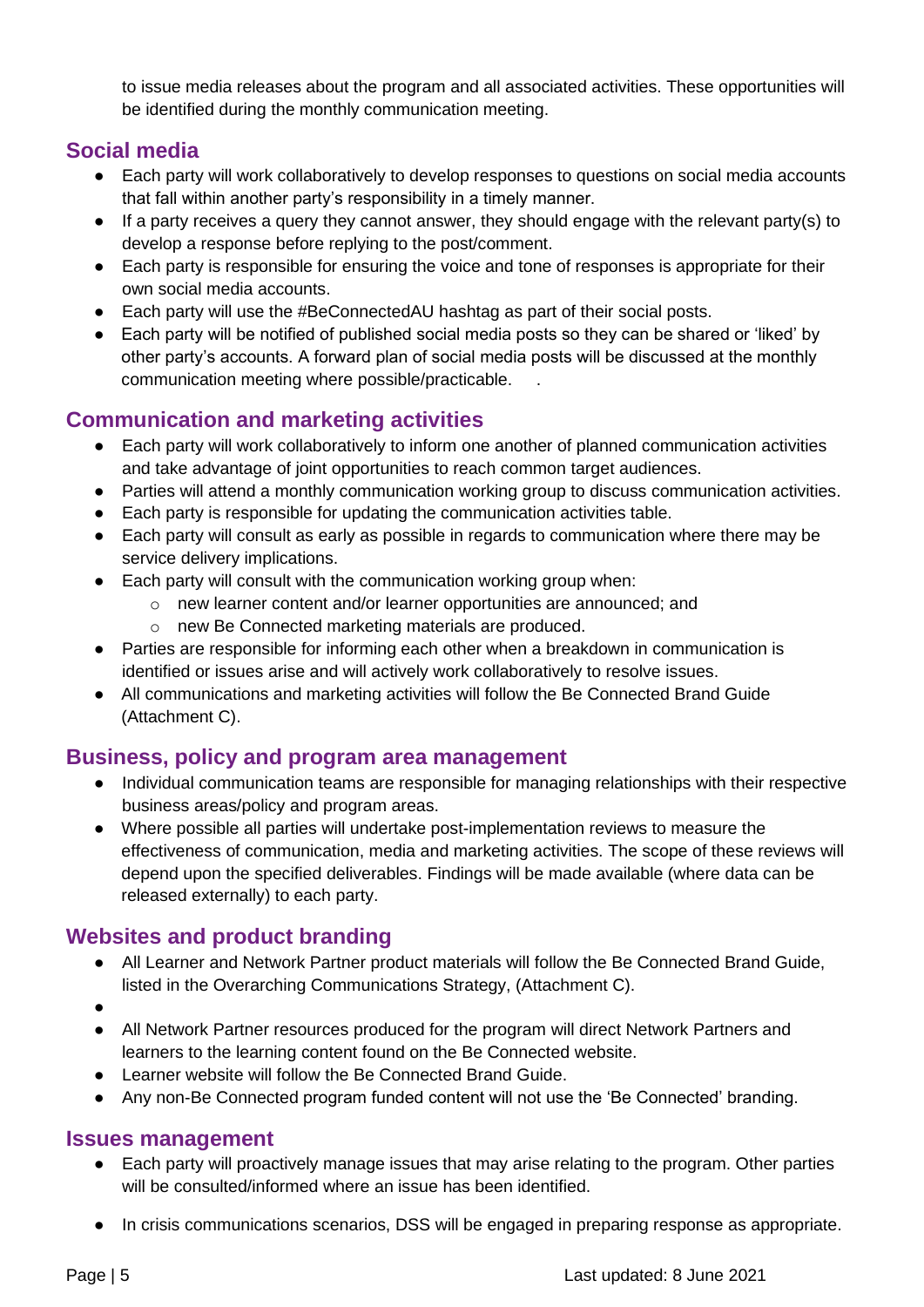to issue media releases about the program and all associated activities. These opportunities will be identified during the monthly communication meeting.

### **Social media**

- Each party will work collaboratively to develop responses to questions on social media accounts that fall within another party's responsibility in a timely manner.
- If a party receives a query they cannot answer, they should engage with the relevant party(s) to develop a response before replying to the post/comment.
- Each party is responsible for ensuring the voice and tone of responses is appropriate for their own social media accounts.
- Each party will use the #BeConnectedAU hashtag as part of their social posts.
- Each party will be notified of published social media posts so they can be shared or 'liked' by other party's accounts. A forward plan of social media posts will be discussed at the monthly communication meeting where possible/practicable. .

### **Communication and marketing activities**

- Each party will work collaboratively to inform one another of planned communication activities and take advantage of joint opportunities to reach common target audiences.
- Parties will attend a monthly communication working group to discuss communication activities.
- Each party is responsible for updating the communication activities table.
- Each party will consult as early as possible in regards to communication where there may be service delivery implications.
- Each party will consult with the communication working group when:
	- o new learner content and/or learner opportunities are announced; and
	- o new Be Connected marketing materials are produced.
- Parties are responsible for informing each other when a breakdown in communication is identified or issues arise and will actively work collaboratively to resolve issues.
- All communications and marketing activities will follow the Be Connected Brand Guide (Attachment C).

#### **Business, policy and program area management**

- Individual communication teams are responsible for managing relationships with their respective business areas/policy and program areas.
- Where possible all parties will undertake post-implementation reviews to measure the effectiveness of communication, media and marketing activities. The scope of these reviews will depend upon the specified deliverables. Findings will be made available (where data can be released externally) to each party.

### **Websites and product branding**

- All Learner and Network Partner product materials will follow the Be Connected Brand Guide, listed in the Overarching Communications Strategy, (Attachment C).
- ●
- All Network Partner resources produced for the program will direct Network Partners and learners to the learning content found on the Be Connected website.
- Learner website will follow the Be Connected Brand Guide.
- Any non-Be Connected program funded content will not use the 'Be Connected' branding.

#### **Issues management**

- Each party will proactively manage issues that may arise relating to the program. Other parties will be consulted/informed where an issue has been identified.
- In crisis communications scenarios, DSS will be engaged in preparing response as appropriate.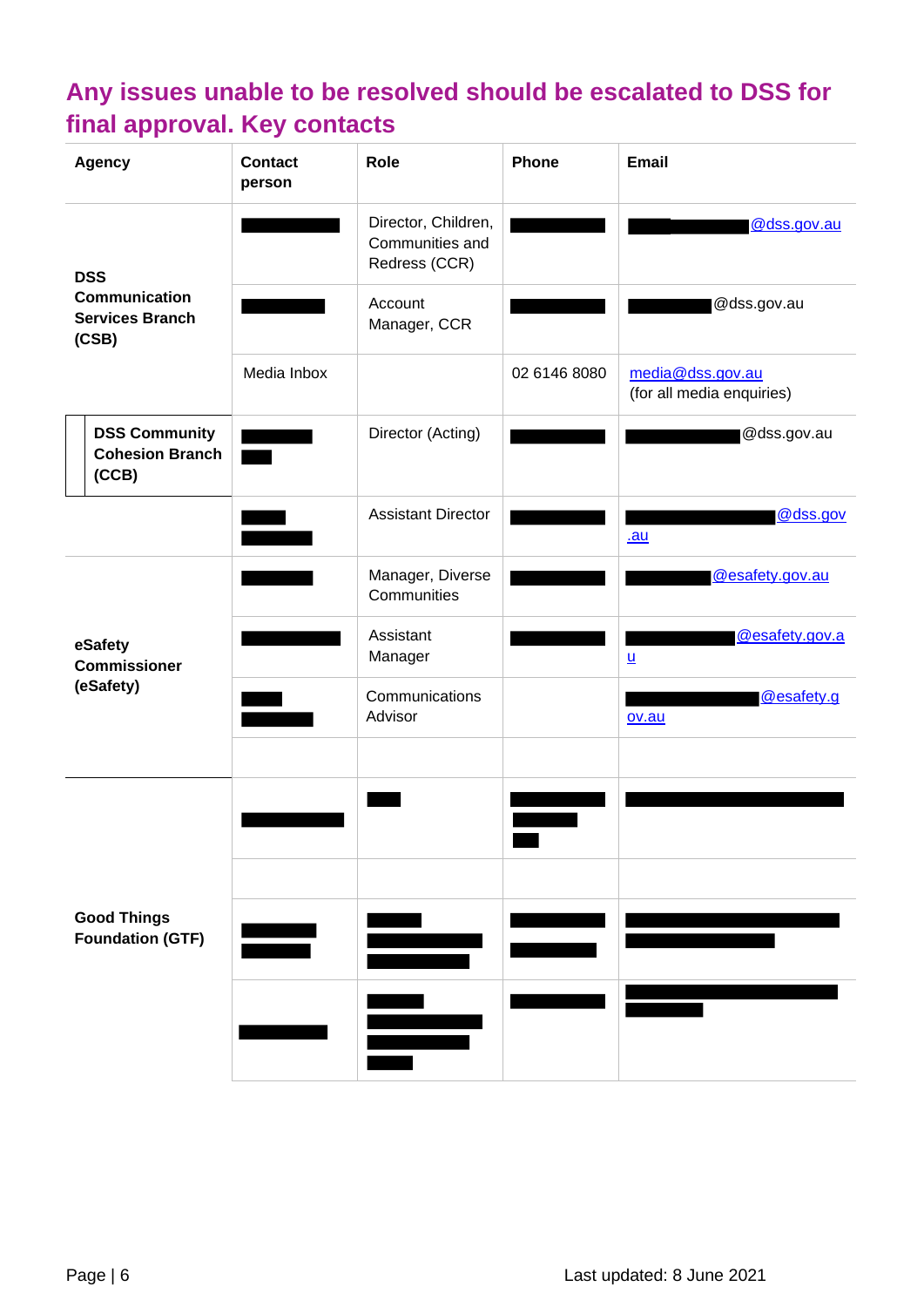# **Any issues unable to be resolved should be escalated to DSS for final approval. Key contacts**

|                                                                       | <b>Agency</b>                                           | <b>Contact</b><br>person  | Role                                                    | Phone               | <b>Email</b>                                  |
|-----------------------------------------------------------------------|---------------------------------------------------------|---------------------------|---------------------------------------------------------|---------------------|-----------------------------------------------|
| <b>DSS</b><br><b>Communication</b><br><b>Services Branch</b><br>(CSB) |                                                         |                           | Director, Children,<br>Communities and<br>Redress (CCR) |                     | @dss.gov.au                                   |
|                                                                       |                                                         |                           | Account<br>Manager, CCR                                 |                     | @dss.gov.au                                   |
|                                                                       |                                                         | Media Inbox               |                                                         | 02 6146 8080        | media@dss.gov.au<br>(for all media enquiries) |
|                                                                       | <b>DSS Community</b><br><b>Cohesion Branch</b><br>(CCB) |                           | Director (Acting)                                       |                     | @dss.gov.au                                   |
|                                                                       |                                                         |                           | <b>Assistant Director</b>                               |                     | @dss.gov<br><u>.au</u>                        |
| eSafety<br><b>Commissioner</b>                                        |                                                         |                           | Manager, Diverse<br>Communities                         |                     | @esafety.gov.au                               |
|                                                                       |                                                         |                           | Assistant<br>Manager                                    |                     | @esafety.gov.a<br>$\underline{\mathsf{u}}$    |
| (eSafety)                                                             |                                                         | Communications<br>Advisor |                                                         | @esafety.g<br>ov.au |                                               |
|                                                                       |                                                         |                           |                                                         |                     |                                               |
|                                                                       |                                                         |                           |                                                         |                     |                                               |
| <b>Good Things</b><br><b>Foundation (GTF)</b>                         |                                                         |                           |                                                         |                     |                                               |
|                                                                       |                                                         |                           |                                                         |                     |                                               |
|                                                                       |                                                         |                           |                                                         |                     |                                               |
|                                                                       |                                                         |                           |                                                         |                     |                                               |